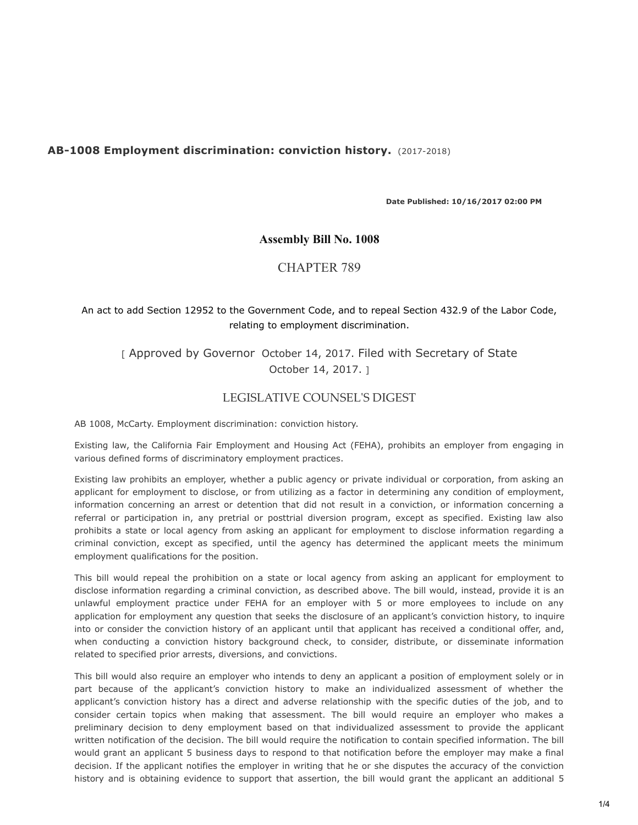# **AB-1008 Employment discrimination: conviction history.** (2017-2018)

**Date Published: 10/16/2017 02:00 PM**

#### **Assembly Bill No. 1008**

#### CHAPTER 789

# An act to add Section 12952 to the Government Code, and to repeal Section 432.9 of the Labor Code, relating to employment discrimination.

[ Approved by Governor October 14, 2017. Filed with Secretary of State October 14, 2017. ]

# LEGISLATIVE COUNSEL'S DIGEST

AB 1008, McCarty. Employment discrimination: conviction history.

Existing law, the California Fair Employment and Housing Act (FEHA), prohibits an employer from engaging in various defined forms of discriminatory employment practices.

Existing law prohibits an employer, whether a public agency or private individual or corporation, from asking an applicant for employment to disclose, or from utilizing as a factor in determining any condition of employment, information concerning an arrest or detention that did not result in a conviction, or information concerning a referral or participation in, any pretrial or posttrial diversion program, except as specified. Existing law also prohibits a state or local agency from asking an applicant for employment to disclose information regarding a criminal conviction, except as specified, until the agency has determined the applicant meets the minimum employment qualifications for the position.

This bill would repeal the prohibition on a state or local agency from asking an applicant for employment to disclose information regarding a criminal conviction, as described above. The bill would, instead, provide it is an unlawful employment practice under FEHA for an employer with 5 or more employees to include on any application for employment any question that seeks the disclosure of an applicant's conviction history, to inquire into or consider the conviction history of an applicant until that applicant has received a conditional offer, and, when conducting a conviction history background check, to consider, distribute, or disseminate information related to specified prior arrests, diversions, and convictions.

This bill would also require an employer who intends to deny an applicant a position of employment solely or in part because of the applicant's conviction history to make an individualized assessment of whether the applicant's conviction history has a direct and adverse relationship with the specific duties of the job, and to consider certain topics when making that assessment. The bill would require an employer who makes a preliminary decision to deny employment based on that individualized assessment to provide the applicant written notification of the decision. The bill would require the notification to contain specified information. The bill would grant an applicant 5 business days to respond to that notification before the employer may make a final decision. If the applicant notifies the employer in writing that he or she disputes the accuracy of the conviction history and is obtaining evidence to support that assertion, the bill would grant the applicant an additional 5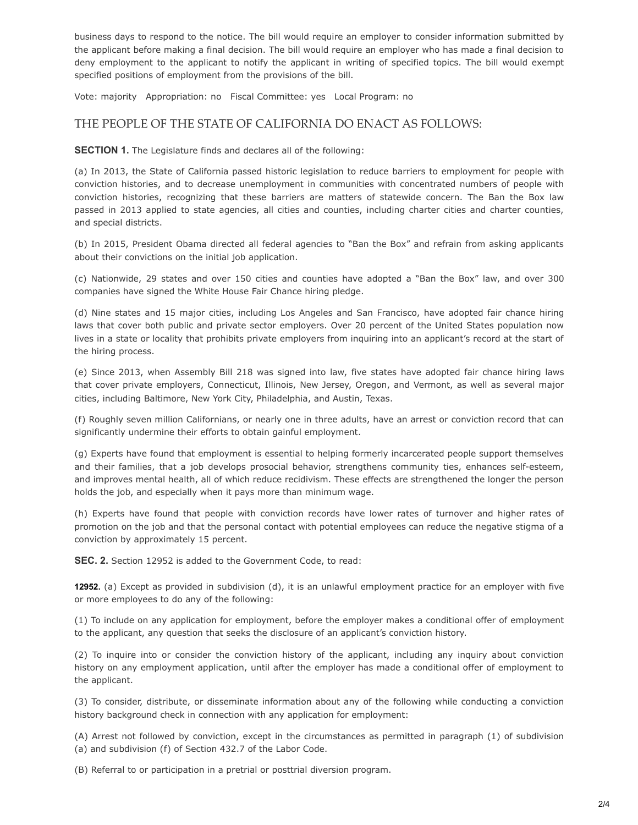business days to respond to the notice. The bill would require an employer to consider information submitted by the applicant before making a final decision. The bill would require an employer who has made a final decision to deny employment to the applicant to notify the applicant in writing of specified topics. The bill would exempt specified positions of employment from the provisions of the bill.

Vote: majority Appropriation: no Fiscal Committee: yes Local Program: no

# THE PEOPLE OF THE STATE OF CALIFORNIA DO ENACT AS FOLLOWS:

**SECTION 1.** The Legislature finds and declares all of the following:

(a) In 2013, the State of California passed historic legislation to reduce barriers to employment for people with conviction histories, and to decrease unemployment in communities with concentrated numbers of people with conviction histories, recognizing that these barriers are matters of statewide concern. The Ban the Box law passed in 2013 applied to state agencies, all cities and counties, including charter cities and charter counties, and special districts.

(b) In 2015, President Obama directed all federal agencies to "Ban the Box" and refrain from asking applicants about their convictions on the initial job application.

(c) Nationwide, 29 states and over 150 cities and counties have adopted a "Ban the Box" law, and over 300 companies have signed the White House Fair Chance hiring pledge.

(d) Nine states and 15 major cities, including Los Angeles and San Francisco, have adopted fair chance hiring laws that cover both public and private sector employers. Over 20 percent of the United States population now lives in a state or locality that prohibits private employers from inquiring into an applicant's record at the start of the hiring process.

(e) Since 2013, when Assembly Bill 218 was signed into law, five states have adopted fair chance hiring laws that cover private employers, Connecticut, Illinois, New Jersey, Oregon, and Vermont, as well as several major cities, including Baltimore, New York City, Philadelphia, and Austin, Texas.

(f) Roughly seven million Californians, or nearly one in three adults, have an arrest or conviction record that can significantly undermine their efforts to obtain gainful employment.

(g) Experts have found that employment is essential to helping formerly incarcerated people support themselves and their families, that a job develops prosocial behavior, strengthens community ties, enhances self-esteem, and improves mental health, all of which reduce recidivism. These effects are strengthened the longer the person holds the job, and especially when it pays more than minimum wage.

(h) Experts have found that people with conviction records have lower rates of turnover and higher rates of promotion on the job and that the personal contact with potential employees can reduce the negative stigma of a conviction by approximately 15 percent.

**SEC. 2.** Section 12952 is added to the Government Code, to read:

 **12952.** (a) Except as provided in subdivision (d), it is an unlawful employment practice for an employer with five or more employees to do any of the following:

(1) To include on any application for employment, before the employer makes a conditional offer of employment to the applicant, any question that seeks the disclosure of an applicant's conviction history.

(2) To inquire into or consider the conviction history of the applicant, including any inquiry about conviction history on any employment application, until after the employer has made a conditional offer of employment to the applicant.

(3) To consider, distribute, or disseminate information about any of the following while conducting a conviction history background check in connection with any application for employment:

(A) Arrest not followed by conviction, except in the circumstances as permitted in paragraph (1) of subdivision (a) and subdivision (f) of Section 432.7 of the Labor Code.

(B) Referral to or participation in a pretrial or posttrial diversion program.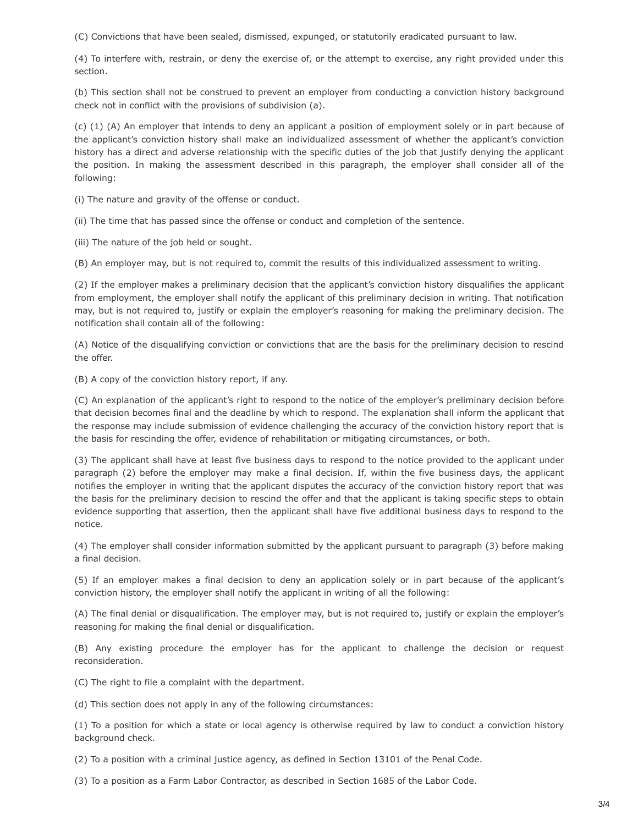(C) Convictions that have been sealed, dismissed, expunged, or statutorily eradicated pursuant to law.

(4) To interfere with, restrain, or deny the exercise of, or the attempt to exercise, any right provided under this section.

(b) This section shall not be construed to prevent an employer from conducting a conviction history background check not in conflict with the provisions of subdivision (a).

 (c) (1) (A) An employer that intends to deny an applicant a position of employment solely or in part because of the applicant's conviction history shall make an individualized assessment of whether the applicant's conviction history has a direct and adverse relationship with the specific duties of the job that justify denying the applicant the position. In making the assessment described in this paragraph, the employer shall consider all of the following:

(i) The nature and gravity of the offense or conduct.

(ii) The time that has passed since the offense or conduct and completion of the sentence.

(iii) The nature of the job held or sought.

(B) An employer may, but is not required to, commit the results of this individualized assessment to writing.

(2) If the employer makes a preliminary decision that the applicant's conviction history disqualifies the applicant from employment, the employer shall notify the applicant of this preliminary decision in writing. That notification may, but is not required to, justify or explain the employer's reasoning for making the preliminary decision. The notification shall contain all of the following:

(A) Notice of the disqualifying conviction or convictions that are the basis for the preliminary decision to rescind the offer.

(B) A copy of the conviction history report, if any.

(C) An explanation of the applicant's right to respond to the notice of the employer's preliminary decision before that decision becomes final and the deadline by which to respond. The explanation shall inform the applicant that the response may include submission of evidence challenging the accuracy of the conviction history report that is the basis for rescinding the offer, evidence of rehabilitation or mitigating circumstances, or both.

(3) The applicant shall have at least five business days to respond to the notice provided to the applicant under paragraph (2) before the employer may make a final decision. If, within the five business days, the applicant notifies the employer in writing that the applicant disputes the accuracy of the conviction history report that was the basis for the preliminary decision to rescind the offer and that the applicant is taking specific steps to obtain evidence supporting that assertion, then the applicant shall have five additional business days to respond to the notice.

(4) The employer shall consider information submitted by the applicant pursuant to paragraph (3) before making a final decision.

(5) If an employer makes a final decision to deny an application solely or in part because of the applicant's conviction history, the employer shall notify the applicant in writing of all the following:

(A) The final denial or disqualification. The employer may, but is not required to, justify or explain the employer's reasoning for making the final denial or disqualification.

(B) Any existing procedure the employer has for the applicant to challenge the decision or request reconsideration.

(C) The right to file a complaint with the department.

(d) This section does not apply in any of the following circumstances:

(1) To a position for which a state or local agency is otherwise required by law to conduct a conviction history background check.

(2) To a position with a criminal justice agency, as defined in Section 13101 of the Penal Code.

(3) To a position as a Farm Labor Contractor, as described in Section 1685 of the Labor Code.